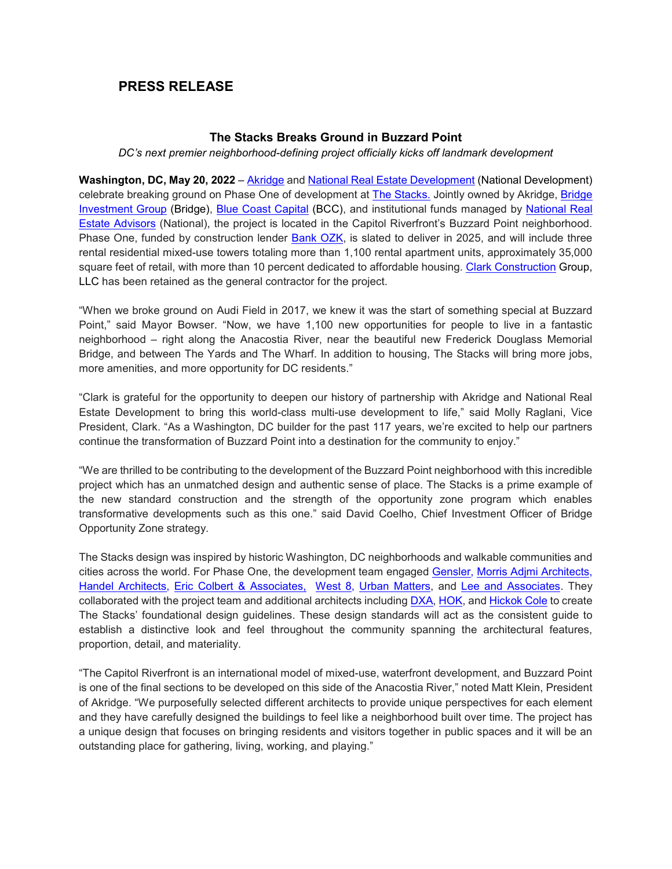# **PRESS RELEASE**

## **The Stacks Breaks Ground in Buzzard Point**

### *DC's next premier neighborhood-defining project officially kicks off landmark development*

**Washington, DC, May 20, 2022** – [Akridge](http://www.akridge.com/) and [National Real Estate Development](https://natrealestatedevelopment.com/) (National Development) celebrate breaking ground on Phase One of development at [The Stacks.](https://thestacks.com/) Jointly owned by Akridge, Bridge [Investment Group](https://www.bridgeig.com/) (Bridge), [Blue Coast Capital](https://www.bccap.com/) (BCC), and institutional funds managed by [National Real](https://natadvisors.com/)  [Estate Advisors](https://natadvisors.com/) (National), the project is located in the Capitol Riverfront's Buzzard Point neighborhood. Phase One, funded by construction lender [Bank OZK,](https://www.ozk.com/) is slated to deliver in 2025, and will include three rental residential mixed-use towers totaling more than 1,100 rental apartment units, approximately 35,000 square feet of retail, with more than 10 percent dedicated to affordable housing. [Clark Construction](https://www.clarkconstruction.com/) Group, LLC has been retained as the general contractor for the project.

"When we broke ground on Audi Field in 2017, we knew it was the start of something special at Buzzard Point," said Mayor Bowser. "Now, we have 1,100 new opportunities for people to live in a fantastic neighborhood – right along the Anacostia River, near the beautiful new Frederick Douglass Memorial Bridge, and between The Yards and The Wharf. In addition to housing, The Stacks will bring more jobs, more amenities, and more opportunity for DC residents."

"Clark is grateful for the opportunity to deepen our history of partnership with Akridge and National Real Estate Development to bring this world-class multi-use development to life," said Molly Raglani, Vice President, Clark. "As a Washington, DC builder for the past 117 years, we're excited to help our partners continue the transformation of Buzzard Point into a destination for the community to enjoy."

"We are thrilled to be contributing to the development of the Buzzard Point neighborhood with this incredible project which has an unmatched design and authentic sense of place. The Stacks is a prime example of the new standard construction and the strength of the opportunity zone program which enables transformative developments such as this one." said David Coelho, Chief Investment Officer of Bridge Opportunity Zone strategy.

The Stacks design was inspired by historic Washington, DC neighborhoods and walkable communities and cities across the world. For Phase One, the development team engaged [Gensler,](https://www.gensler.com/) [Morris Adjmi Architects](https://www.ma.com/)[,](https://handelarchitects.com/) [Handel Architects](https://handelarchitects.com/)[,](https://www.dxastudio.com/%22HYPERLINK%20%22https:/www.dxastudio.com/%22) [Eric Colbert & Associates,](https://eca-pc.com/) [West 8,](https://www.west8.com/) [Urban Matters,](https://urbanmatters.es/) and [L](https://www.leeandassociatesinc.com/)ee and Associates. They collaborated with the project team and additional architects including [DXA,](https://www.dxastudio.com/) [HOK,](https://www.hok.com/) and [Hickok Cole](https://hickokcole.com/) to create The Stacks' foundational design guidelines. These design standards will act as the consistent guide to establish a distinctive look and feel throughout the community spanning the architectural features, proportion, detail, and materiality.

"The Capitol Riverfront is an international model of mixed-use, waterfront development, and Buzzard Point is one of the final sections to be developed on this side of the Anacostia River," noted Matt Klein, President of Akridge. "We purposefully selected different architects to provide unique perspectives for each element and they have carefully designed the buildings to feel like a neighborhood built over time. The project has a unique design that focuses on bringing residents and visitors together in public spaces and it will be an outstanding place for gathering, living, working, and playing."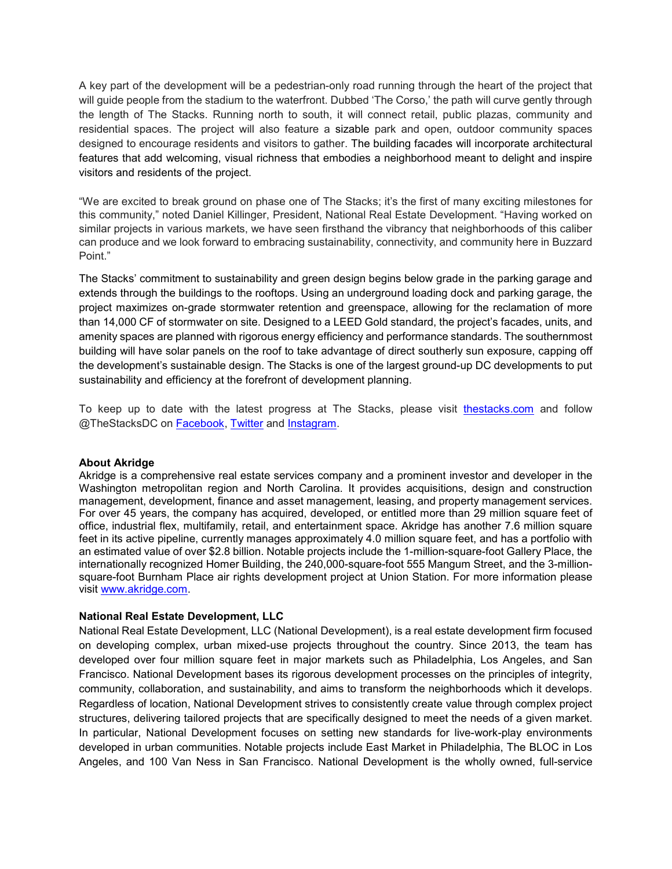A key part of the development will be a pedestrian-only road running through the heart of the project that will guide people from the stadium to the waterfront. Dubbed 'The Corso,' the path will curve gently through the length of The Stacks. Running north to south, it will connect retail, public plazas, community and residential spaces. The project will also feature a sizable park and open, outdoor community spaces designed to encourage residents and visitors to gather. The building facades will incorporate architectural features that add welcoming, visual richness that embodies a neighborhood meant to delight and inspire visitors and residents of the project.

"We are excited to break ground on phase one of The Stacks; it's the first of many exciting milestones for this community," noted Daniel Killinger, President, National Real Estate Development. "Having worked on similar projects in various markets, we have seen firsthand the vibrancy that neighborhoods of this caliber can produce and we look forward to embracing sustainability, connectivity, and community here in Buzzard Point."

The Stacks' commitment to sustainability and green design begins below grade in the parking garage and extends through the buildings to the rooftops. Using an underground loading dock and parking garage, the project maximizes on-grade stormwater retention and greenspace, allowing for the reclamation of more than 14,000 CF of stormwater on site. Designed to a LEED Gold standard, the project's facades, units, and amenity spaces are planned with rigorous energy efficiency and performance standards. The southernmost building will have solar panels on the roof to take advantage of direct southerly sun exposure, capping off the development's sustainable design. The Stacks is one of the largest ground-up DC developments to put sustainability and efficiency at the forefront of development planning.

To keep up to date with the latest progress at The Stacks, please visit [thestacks.com](https://thestacks.com/) and follow @TheStacksDC on [Facebook,](https://www.facebook.com/thestacksdc) [Twitter](https://twitter.com/thestacksdc) and [Instagram.](https://www.instagram.com/thestacksdc/)

#### **About Akridge**

Akridge is a comprehensive real estate services company and a prominent investor and developer in the Washington metropolitan region and North Carolina. It provides acquisitions, design and construction management, development, finance and asset management, leasing, and property management services. For over 45 years, the company has acquired, developed, or entitled more than 29 million square feet of office, industrial flex, multifamily, retail, and entertainment space. Akridge has another 7.6 million square feet in its active pipeline, currently manages approximately 4.0 million square feet, and has a portfolio with an estimated value of over \$2.8 billion. Notable projects include the 1-million-square-foot Gallery Place, the internationally recognized Homer Building, the 240,000-square-foot 555 Mangum Street, and the 3-millionsquare-foot Burnham Place air rights development project at Union Station. For more information please visit [www.akridge.com.](http://www.akridge.com/)

#### **National Real Estate Development, LLC**

National Real Estate Development, LLC (National Development), is a real estate development firm focused on developing complex, urban mixed-use projects throughout the country. Since 2013, the team has developed over four million square feet in major markets such as Philadelphia, Los Angeles, and San Francisco. National Development bases its rigorous development processes on the principles of integrity, community, collaboration, and sustainability, and aims to transform the neighborhoods which it develops. Regardless of location, National Development strives to consistently create value through complex project structures, delivering tailored projects that are specifically designed to meet the needs of a given market. In particular, National Development focuses on setting new standards for live-work-play environments developed in urban communities. Notable projects include East Market in Philadelphia, The BLOC in Los Angeles, and 100 Van Ness in San Francisco. National Development is the wholly owned, full-service